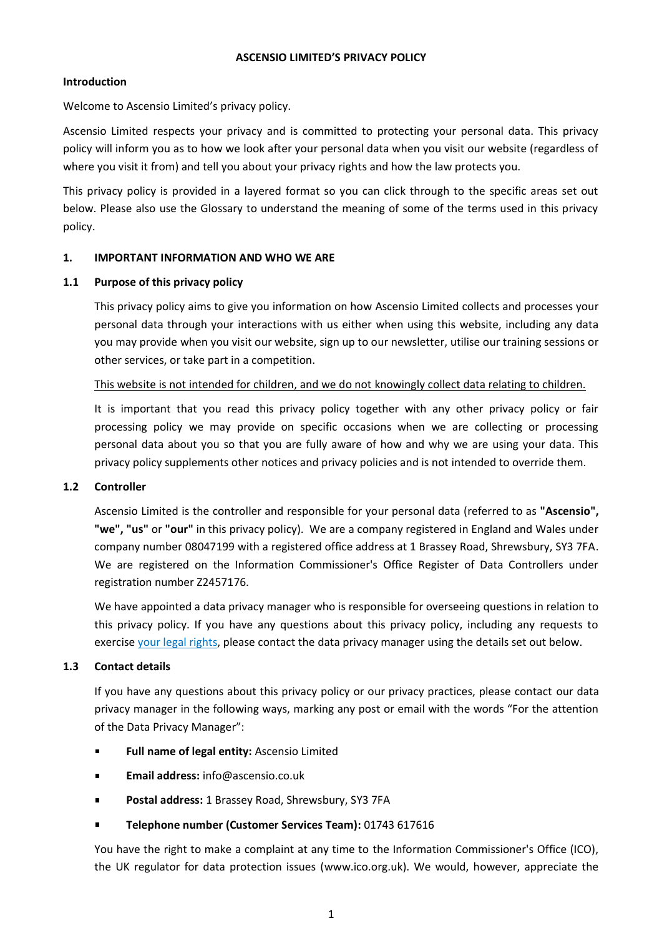#### **ASCENSIO LIMITED'S PRIVACY POLICY**

### **Introduction**

Welcome to Ascensio Limited's privacy policy.

Ascensio Limited respects your privacy and is committed to protecting your personal data. This privacy policy will inform you as to how we look after your personal data when you visit our website (regardless of where you visit it from) and tell you about your privacy rights and how the law protects you.

This privacy policy is provided in a layered format so you can click through to the specific areas set out below. Please also use the Glossary to understand the meaning of some of the terms used in this privacy policy.

### **1. IMPORTANT INFORMATION AND WHO WE ARE**

#### **1.1 Purpose of this privacy policy**

This privacy policy aims to give you information on how Ascensio Limited collects and processes your personal data through your interactions with us either when using this website, including any data you may provide when you visit our website, sign up to our newsletter, utilise our training sessions or other services, or take part in a competition.

# This website is not intended for children, and we do not knowingly collect data relating to children.

It is important that you read this privacy policy together with any other privacy policy or fair processing policy we may provide on specific occasions when we are collecting or processing personal data about you so that you are fully aware of how and why we are using your data. This privacy policy supplements other notices and privacy policies and is not intended to override them.

### **1.2 Controller**

Ascensio Limited is the controller and responsible for your personal data (referred to as **"Ascensio", "we", "us"** or **"our"** in this privacy policy). We are a company registered in England and Wales under company number 08047199 with a registered office address at 1 Brassey Road, Shrewsbury, SY3 7FA. We are registered on the Information Commissioner's Office Register of Data Controllers under registration number Z2457176.

We have appointed a data privacy manager who is responsible for overseeing questions in relation to this privacy policy. If you have any questions about this privacy policy, including any requests to exercise [your legal rights,](#page-8-0) please contact the data privacy manager using the details set out below.

### **1.3 Contact details**

If you have any questions about this privacy policy or our privacy practices, please contact our data privacy manager in the following ways, marking any post or email with the words "For the attention of the Data Privacy Manager":

- **Full name of legal entity:** Ascensio Limited  $\blacksquare$
- **Email address:** info@ascensio.co.uk
- **Postal address:** 1 Brassey Road, Shrewsbury, SY3 7FA
- **Telephone number (Customer Services Team):** 01743 617616

You have the right to make a complaint at any time to the Information Commissioner's Office (ICO), the UK regulator for data protection issues (www.ico.org.uk). We would, however, appreciate the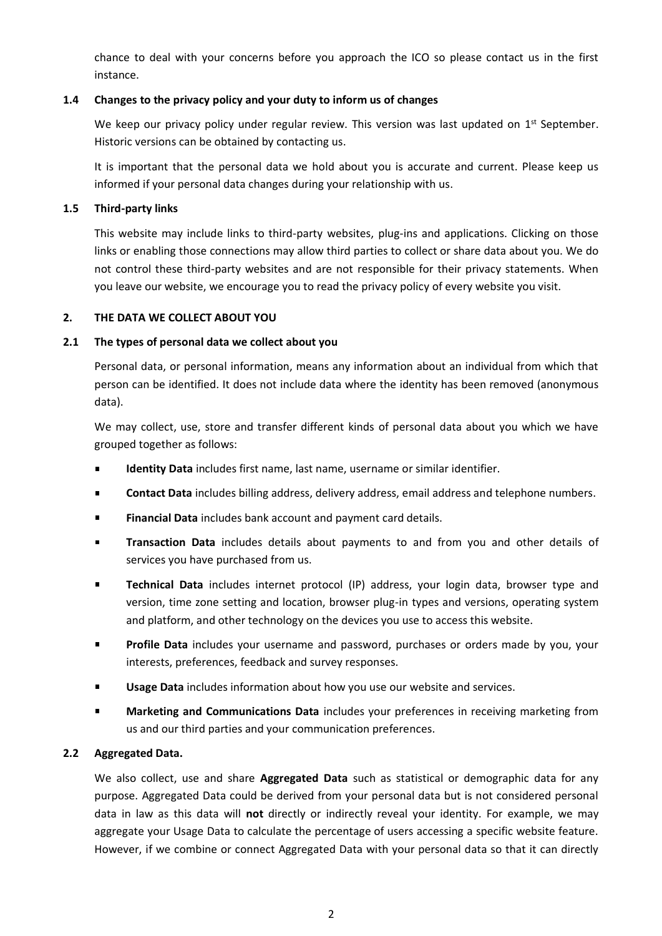chance to deal with your concerns before you approach the ICO so please contact us in the first instance.

# **1.4 Changes to the privacy policy and your duty to inform us of changes**

We keep our privacy policy under regular review. This version was last updated on 1<sup>st</sup> September. Historic versions can be obtained by contacting us.

It is important that the personal data we hold about you is accurate and current. Please keep us informed if your personal data changes during your relationship with us.

### **1.5 Third-party links**

This website may include links to third-party websites, plug-ins and applications. Clicking on those links or enabling those connections may allow third parties to collect or share data about you. We do not control these third-party websites and are not responsible for their privacy statements. When you leave our website, we encourage you to read the privacy policy of every website you visit.

## **2. THE DATA WE COLLECT ABOUT YOU**

## **2.1 The types of personal data we collect about you**

Personal data, or personal information, means any information about an individual from which that person can be identified. It does not include data where the identity has been removed (anonymous data).

We may collect, use, store and transfer different kinds of personal data about you which we have grouped together as follows:

- **Identity Data** includes first name, last name, username or similar identifier.
- **Contact Data** includes billing address, delivery address, email address and telephone numbers.
- **Financial Data** includes bank account and payment card details.
- **Transaction Data** includes details about payments to and from you and other details of  $\blacksquare$ services you have purchased from us.
- **Technical Data** includes internet protocol (IP) address, your login data, browser type and  $\blacksquare$ version, time zone setting and location, browser plug-in types and versions, operating system and platform, and other technology on the devices you use to access this website.
- **Profile Data** includes your username and password, purchases or orders made by you, your  $\blacksquare$ interests, preferences, feedback and survey responses.
- **Usage Data** includes information about how you use our website and services.
- **Marketing and Communications Data** includes your preferences in receiving marketing from us and our third parties and your communication preferences.

### **2.2 Aggregated Data.**

We also collect, use and share **Aggregated Data** such as statistical or demographic data for any purpose. Aggregated Data could be derived from your personal data but is not considered personal data in law as this data will **not** directly or indirectly reveal your identity. For example, we may aggregate your Usage Data to calculate the percentage of users accessing a specific website feature. However, if we combine or connect Aggregated Data with your personal data so that it can directly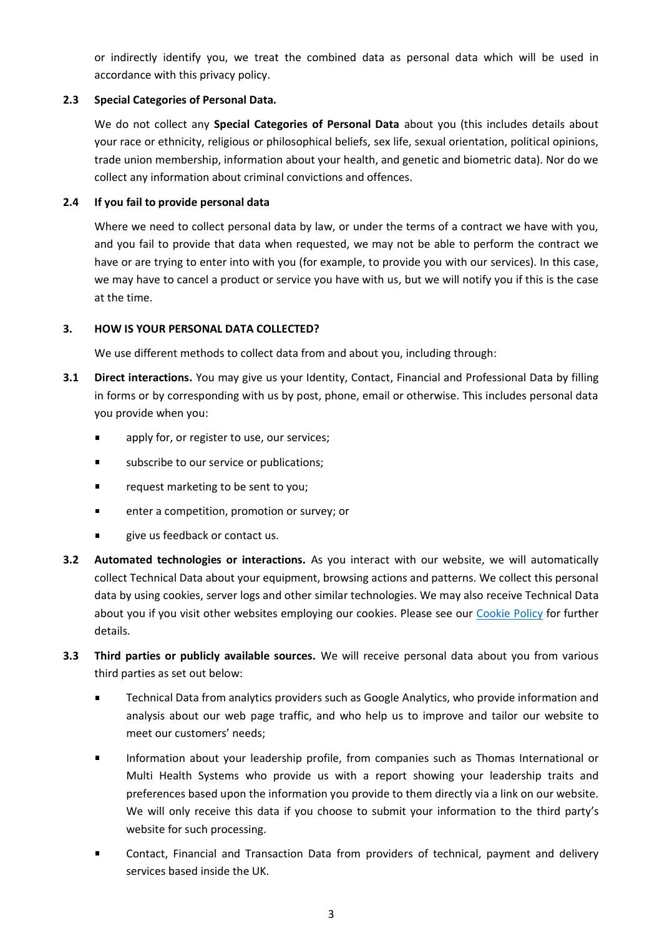or indirectly identify you, we treat the combined data as personal data which will be used in accordance with this privacy policy.

# **2.3 Special Categories of Personal Data.**

We do not collect any **Special Categories of Personal Data** about you (this includes details about your race or ethnicity, religious or philosophical beliefs, sex life, sexual orientation, political opinions, trade union membership, information about your health, and genetic and biometric data). Nor do we collect any information about criminal convictions and offences.

# **2.4 If you fail to provide personal data**

Where we need to collect personal data by law, or under the terms of a contract we have with you, and you fail to provide that data when requested, we may not be able to perform the contract we have or are trying to enter into with you (for example, to provide you with our services). In this case, we may have to cancel a product or service you have with us, but we will notify you if this is the case at the time.

# **3. HOW IS YOUR PERSONAL DATA COLLECTED?**

We use different methods to collect data from and about you, including through:

- **3.1 Direct interactions.** You may give us your Identity, Contact, Financial and Professional Data by filling in forms or by corresponding with us by post, phone, email or otherwise. This includes personal data you provide when you:
	- apply for, or register to use, our services;
	- subscribe to our service or publications;
	- request marketing to be sent to you;
	- enter a competition, promotion or survey; or  $\blacksquare$
	- give us feedback or contact us.
- **3.2 Automated technologies or interactions.** As you interact with our website, we will automatically collect Technical Data about your equipment, browsing actions and patterns. We collect this personal data by using cookies, server logs and other similar technologies. We may also receive Technical Data about you if you visit other websites employing our cookies. Please see our [Cookie Policy](https://ascensio.co.uk/privacy-cookie-policy/) for further details.
- **3.3 Third parties or publicly available sources.** We will receive personal data about you from various third parties as set out below:
	- $\blacksquare$ Technical Data from analytics providers such as Google Analytics, who provide information and analysis about our web page traffic, and who help us to improve and tailor our website to meet our customers' needs;
	- Information about your leadership profile, from companies such as Thomas International or Multi Health Systems who provide us with a report showing your leadership traits and preferences based upon the information you provide to them directly via a link on our website. We will only receive this data if you choose to submit your information to the third party's website for such processing.
	- Contact, Financial and Transaction Data from providers of technical, payment and delivery services based inside the UK.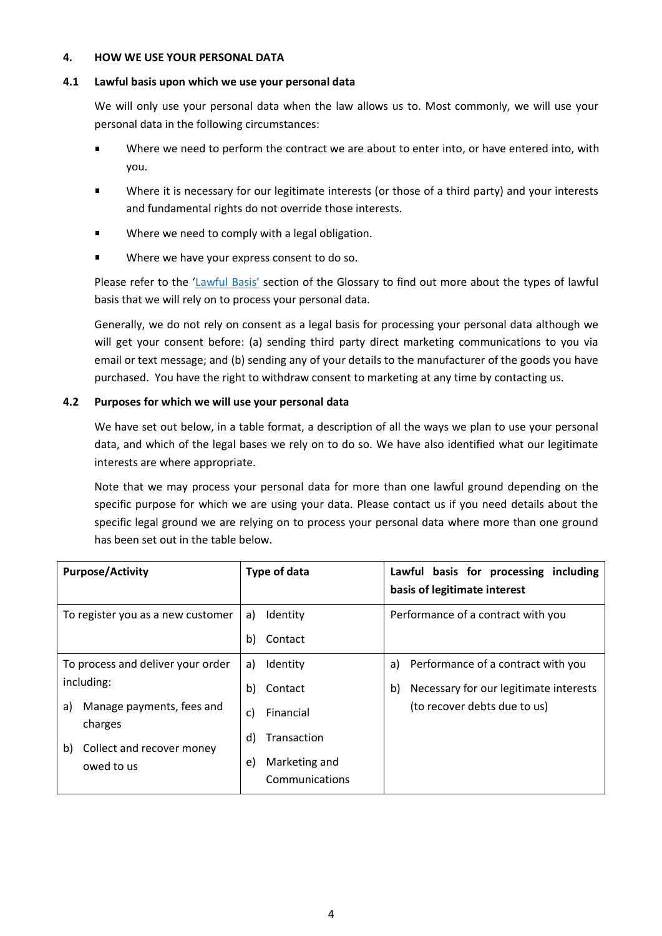### **4. HOW WE USE YOUR PERSONAL DATA**

### **4.1 Lawful basis upon which we use your personal data**

We will only use your personal data when the law allows us to. Most commonly, we will use your personal data in the following circumstances:

- Where we need to perform the contract we are about to enter into, or have entered into, with you.
- Where it is necessary for our legitimate interests (or those of a third party) and your interests and fundamental rights do not override those interests.
- Where we need to comply with a legal obligation.
- Where we have your express consent to do so.

Please refer to the ['Lawful Basis'](#page-7-0) section of the Glossary to find out more about the types of lawful basis that we will rely on to process your personal data.

Generally, we do not rely on consent as a legal basis for processing your personal data although we will get your consent before: (a) sending third party direct marketing communications to you via email or text message; and (b) sending any of your details to the manufacturer of the goods you have purchased. You have the right to withdraw consent to marketing at any time by contacting us.

## <span id="page-3-0"></span>**4.2 Purposes for which we will use your personal data**

We have set out below, in a table format, a description of all the ways we plan to use your personal data, and which of the legal bases we rely on to do so. We have also identified what our legitimate interests are where appropriate.

Note that we may process your personal data for more than one lawful ground depending on the specific purpose for which we are using your data. Please contact us if you need details about the specific legal ground we are relying on to process your personal data where more than one ground has been set out in the table below.

| <b>Purpose/Activity</b>                                                                                                                        | Type of data                                                                                                     | Lawful basis for processing including<br>basis of legitimate interest                                                    |
|------------------------------------------------------------------------------------------------------------------------------------------------|------------------------------------------------------------------------------------------------------------------|--------------------------------------------------------------------------------------------------------------------------|
| To register you as a new customer                                                                                                              | Identity<br>a)<br>b)<br>Contact                                                                                  | Performance of a contract with you                                                                                       |
| To process and deliver your order<br>including:<br>Manage payments, fees and<br>a)<br>charges<br>Collect and recover money<br>b)<br>owed to us | Identity<br>a)<br>Contact<br>b)<br>Financial<br>C)<br>Transaction<br>d)<br>Marketing and<br>e)<br>Communications | Performance of a contract with you<br>a)<br>Necessary for our legitimate interests<br>b)<br>(to recover debts due to us) |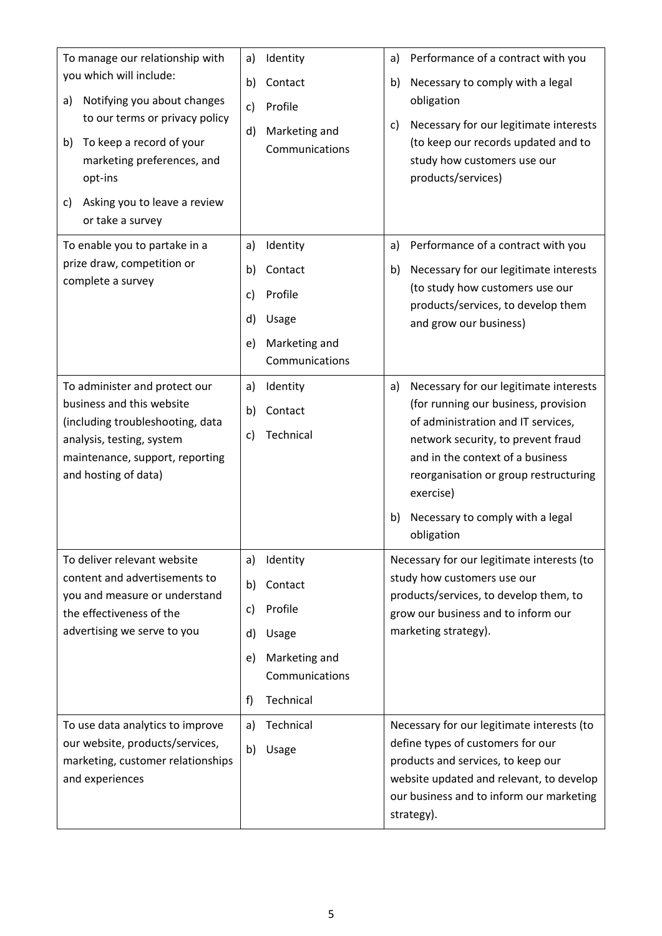| To manage our relationship with<br>you which will include:<br>Notifying you about changes<br>a)<br>to our terms or privacy policy<br>To keep a record of your<br>b)<br>marketing preferences, and<br>opt-ins<br>Asking you to leave a review<br>C)<br>or take a survey | Identity<br>a)<br>b)<br>Contact<br>Profile<br>c)<br>Marketing and<br>d)<br>Communications                                                      | Performance of a contract with you<br>a)<br>Necessary to comply with a legal<br>b)<br>obligation<br>Necessary for our legitimate interests<br>c)<br>(to keep our records updated and to<br>study how customers use our<br>products/services)                                                                       |
|------------------------------------------------------------------------------------------------------------------------------------------------------------------------------------------------------------------------------------------------------------------------|------------------------------------------------------------------------------------------------------------------------------------------------|--------------------------------------------------------------------------------------------------------------------------------------------------------------------------------------------------------------------------------------------------------------------------------------------------------------------|
| To enable you to partake in a<br>prize draw, competition or<br>complete a survey                                                                                                                                                                                       | Identity<br>a)<br>b)<br>Contact<br>Profile<br>c)<br>d)<br>Usage<br>Marketing and<br>e)<br>Communications                                       | Performance of a contract with you<br>a)<br>Necessary for our legitimate interests<br>b)<br>(to study how customers use our<br>products/services, to develop them<br>and grow our business)                                                                                                                        |
| To administer and protect our<br>business and this website<br>(including troubleshooting, data<br>analysis, testing, system<br>maintenance, support, reporting<br>and hosting of data)                                                                                 | Identity<br>a)<br>Contact<br>b)<br>Technical<br>c)                                                                                             | Necessary for our legitimate interests<br>a)<br>(for running our business, provision<br>of administration and IT services,<br>network security, to prevent fraud<br>and in the context of a business<br>reorganisation or group restructuring<br>exercise)<br>Necessary to comply with a legal<br>b)<br>obligation |
| To deliver relevant website<br>content and advertisements to<br>you and measure or understand<br>the effectiveness of the<br>advertising we serve to you<br>To use data analytics to improve                                                                           | Identity<br>a)<br>Contact<br>b)<br>Profile<br>c)<br>d)<br>Usage<br>Marketing and<br>e)<br>Communications<br>Technical<br>f)<br>Technical<br>a) | Necessary for our legitimate interests (to<br>study how customers use our<br>products/services, to develop them, to<br>grow our business and to inform our<br>marketing strategy).<br>Necessary for our legitimate interests (to                                                                                   |
| our website, products/services,<br>marketing, customer relationships<br>and experiences                                                                                                                                                                                | b)<br>Usage                                                                                                                                    | define types of customers for our<br>products and services, to keep our<br>website updated and relevant, to develop<br>our business and to inform our marketing<br>strategy).                                                                                                                                      |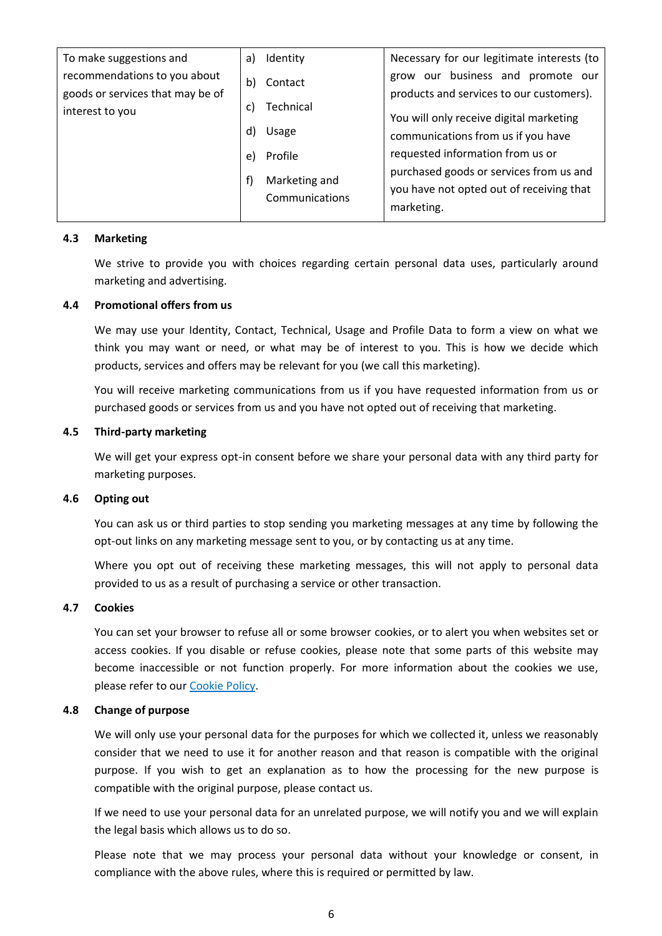| To make suggestions and                                          | a) | Identity                        | Necessary for our legitimate interests (to                                                        |
|------------------------------------------------------------------|----|---------------------------------|---------------------------------------------------------------------------------------------------|
| recommendations to you about<br>goods or services that may be of | b) | Contact                         | grow our business and promote our<br>products and services to our customers).                     |
| interest to you                                                  | C) | Technical                       | You will only receive digital marketing                                                           |
|                                                                  | d) | Usage                           | communications from us if you have                                                                |
|                                                                  | e) | Profile                         | requested information from us or                                                                  |
|                                                                  | f) | Marketing and<br>Communications | purchased goods or services from us and<br>you have not opted out of receiving that<br>marketing. |

### **4.3 Marketing**

We strive to provide you with choices regarding certain personal data uses, particularly around marketing and advertising.

#### **4.4 Promotional offers from us**

We may use your Identity, Contact, Technical, Usage and Profile Data to form a view on what we think you may want or need, or what may be of interest to you. This is how we decide which products, services and offers may be relevant for you (we call this marketing).

You will receive marketing communications from us if you have requested information from us or purchased goods or services from us and you have not opted out of receiving that marketing.

#### **4.5 Third-party marketing**

We will get your express opt-in consent before we share your personal data with any third party for marketing purposes.

#### **4.6 Opting out**

You can ask us or third parties to stop sending you marketing messages at any time by following the opt-out links on any marketing message sent to you, or by contacting us at any time.

Where you opt out of receiving these marketing messages, this will not apply to personal data provided to us as a result of purchasing a service or other transaction.

#### **4.7 Cookies**

You can set your browser to refuse all or some browser cookies, or to alert you when websites set or access cookies. If you disable or refuse cookies, please note that some parts of this website may become inaccessible or not function properly. For more information about the cookies we use, please refer to ou[r Cookie Policy.](https://ascensio.co.uk/privacy-cookie-policy/)

#### **4.8 Change of purpose**

We will only use your personal data for the purposes for which we collected it, unless we reasonably consider that we need to use it for another reason and that reason is compatible with the original purpose. If you wish to get an explanation as to how the processing for the new purpose is compatible with the original purpose, please contact us.

If we need to use your personal data for an unrelated purpose, we will notify you and we will explain the legal basis which allows us to do so.

Please note that we may process your personal data without your knowledge or consent, in compliance with the above rules, where this is required or permitted by law.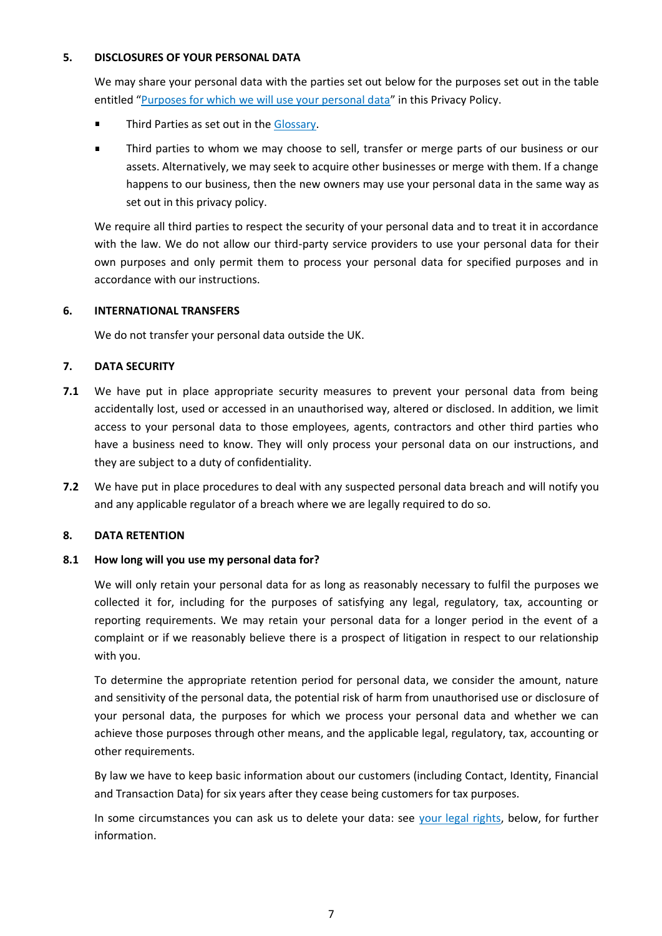### **5. DISCLOSURES OF YOUR PERSONAL DATA**

We may share your personal data with the parties set out below for the purposes set out in the table entitled "[Purposes for which we will use your personal data](#page-3-0)" in this Privacy Policy.

- $\blacksquare$ Third Parties as set out in the [Glossary.](#page-7-1)
- Third parties to whom we may choose to sell, transfer or merge parts of our business or our  $\blacksquare$ assets. Alternatively, we may seek to acquire other businesses or merge with them. If a change happens to our business, then the new owners may use your personal data in the same way as set out in this privacy policy.

We require all third parties to respect the security of your personal data and to treat it in accordance with the law. We do not allow our third-party service providers to use your personal data for their own purposes and only permit them to process your personal data for specified purposes and in accordance with our instructions.

# **6. INTERNATIONAL TRANSFERS**

We do not transfer your personal data outside the UK.

# **7. DATA SECURITY**

- **7.1** We have put in place appropriate security measures to prevent your personal data from being accidentally lost, used or accessed in an unauthorised way, altered or disclosed. In addition, we limit access to your personal data to those employees, agents, contractors and other third parties who have a business need to know. They will only process your personal data on our instructions, and they are subject to a duty of confidentiality.
- **7.2** We have put in place procedures to deal with any suspected personal data breach and will notify you and any applicable regulator of a breach where we are legally required to do so.

### **8. DATA RETENTION**

### **8.1 How long will you use my personal data for?**

We will only retain your personal data for as long as reasonably necessary to fulfil the purposes we collected it for, including for the purposes of satisfying any legal, regulatory, tax, accounting or reporting requirements. We may retain your personal data for a longer period in the event of a complaint or if we reasonably believe there is a prospect of litigation in respect to our relationship with you.

To determine the appropriate retention period for personal data, we consider the amount, nature and sensitivity of the personal data, the potential risk of harm from unauthorised use or disclosure of your personal data, the purposes for which we process your personal data and whether we can achieve those purposes through other means, and the applicable legal, regulatory, tax, accounting or other requirements.

By law we have to keep basic information about our customers (including Contact, Identity, Financial and Transaction Data) for six years after they cease being customers for tax purposes.

In some circumstances you can ask us to delete your data: see [your legal rights,](#page-8-0) below, for further information.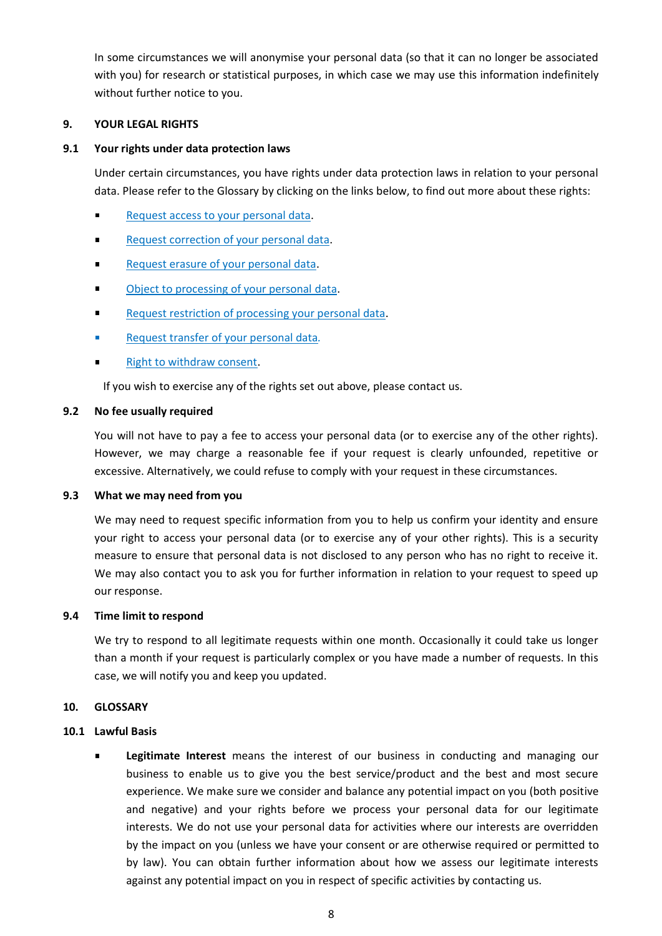In some circumstances we will anonymise your personal data (so that it can no longer be associated with you) for research or statistical purposes, in which case we may use this information indefinitely without further notice to you.

### **9. YOUR LEGAL RIGHTS**

### **9.1 Your rights under data protection laws**

Under certain circumstances, you have rights under data protection laws in relation to your personal data. Please refer to the Glossary by clicking on the links below, to find out more about these rights:

- [Request access to your personal data.](#page-8-1)
- $\blacksquare$ [Request correction of your personal data.](#page-8-2)
- [Request erasure of your personal data.](#page-8-3)  $\blacksquare$
- [Object to processing of your personal data.](#page-8-4)
- [Request restriction of processing your personal data.](#page-8-5)
- [Request transfer of your personal data](#page-9-0)*.*
- [Right to withdraw consent.](#page-9-1)

If you wish to exercise any of the rights set out above, please contact us.

### **9.2 No fee usually required**

You will not have to pay a fee to access your personal data (or to exercise any of the other rights). However, we may charge a reasonable fee if your request is clearly unfounded, repetitive or excessive. Alternatively, we could refuse to comply with your request in these circumstances.

### **9.3 What we may need from you**

We may need to request specific information from you to help us confirm your identity and ensure your right to access your personal data (or to exercise any of your other rights). This is a security measure to ensure that personal data is not disclosed to any person who has no right to receive it. We may also contact you to ask you for further information in relation to your request to speed up our response.

### **9.4 Time limit to respond**

We try to respond to all legitimate requests within one month. Occasionally it could take us longer than a month if your request is particularly complex or you have made a number of requests. In this case, we will notify you and keep you updated.

### <span id="page-7-1"></span>**10. GLOSSARY**

### <span id="page-7-0"></span>**10.1 Lawful Basis**

**Legitimate Interest** means the interest of our business in conducting and managing our business to enable us to give you the best service/product and the best and most secure experience. We make sure we consider and balance any potential impact on you (both positive and negative) and your rights before we process your personal data for our legitimate interests. We do not use your personal data for activities where our interests are overridden by the impact on you (unless we have your consent or are otherwise required or permitted to by law). You can obtain further information about how we assess our legitimate interests against any potential impact on you in respect of specific activities by contacting us.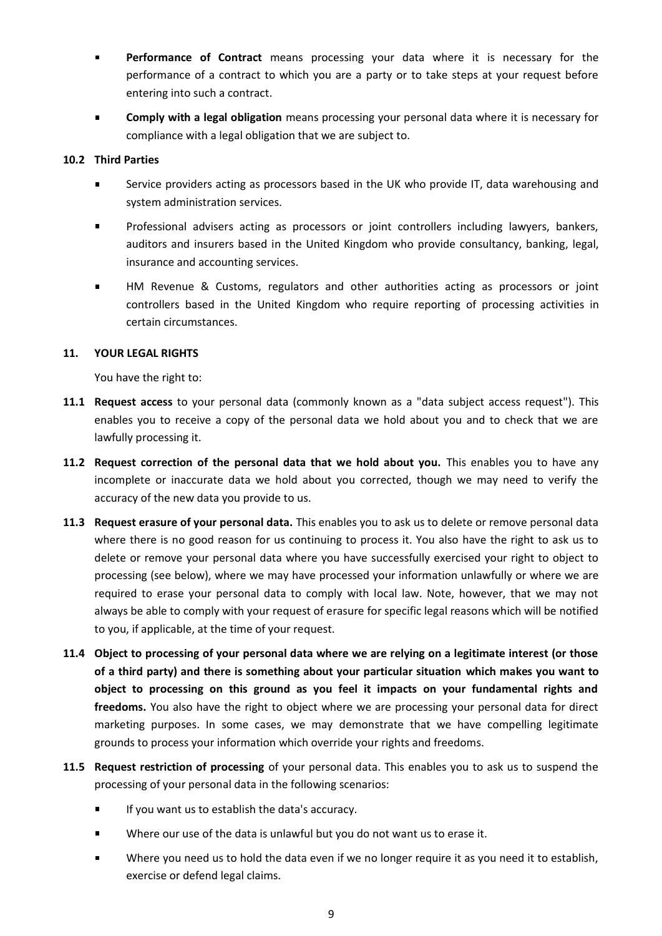- **Performance of Contract** means processing your data where it is necessary for the performance of a contract to which you are a party or to take steps at your request before entering into such a contract.
- **Comply with a legal obligation** means processing your personal data where it is necessary for compliance with a legal obligation that we are subject to.

# **10.2 Third Parties**

- Service providers acting as processors based in the UK who provide IT, data warehousing and  $\blacksquare$ system administration services.
- Professional advisers acting as processors or joint controllers including lawyers, bankers, auditors and insurers based in the United Kingdom who provide consultancy, banking, legal, insurance and accounting services.
- $\blacksquare$ HM Revenue & Customs, regulators and other authorities acting as processors or joint controllers based in the United Kingdom who require reporting of processing activities in certain circumstances.

## <span id="page-8-0"></span>**11. YOUR LEGAL RIGHTS**

You have the right to:

- <span id="page-8-1"></span>**11.1 Request access** to your personal data (commonly known as a "data subject access request"). This enables you to receive a copy of the personal data we hold about you and to check that we are lawfully processing it.
- <span id="page-8-2"></span>**11.2 Request correction of the personal data that we hold about you.** This enables you to have any incomplete or inaccurate data we hold about you corrected, though we may need to verify the accuracy of the new data you provide to us.
- <span id="page-8-3"></span>**11.3 Request erasure of your personal data.** This enables you to ask us to delete or remove personal data where there is no good reason for us continuing to process it. You also have the right to ask us to delete or remove your personal data where you have successfully exercised your right to object to processing (see below), where we may have processed your information unlawfully or where we are required to erase your personal data to comply with local law. Note, however, that we may not always be able to comply with your request of erasure for specific legal reasons which will be notified to you, if applicable, at the time of your request.
- <span id="page-8-4"></span>**11.4 Object to processing of your personal data where we are relying on a legitimate interest (or those of a third party) and there is something about your particular situation which makes you want to object to processing on this ground as you feel it impacts on your fundamental rights and freedoms.** You also have the right to object where we are processing your personal data for direct marketing purposes. In some cases, we may demonstrate that we have compelling legitimate grounds to process your information which override your rights and freedoms.
- <span id="page-8-5"></span>**11.5 Request restriction of processing** of your personal data. This enables you to ask us to suspend the processing of your personal data in the following scenarios:
	- $\blacksquare$ If you want us to establish the data's accuracy.
	- Where our use of the data is unlawful but you do not want us to erase it.
	- Where you need us to hold the data even if we no longer require it as you need it to establish,  $\blacksquare$ exercise or defend legal claims.